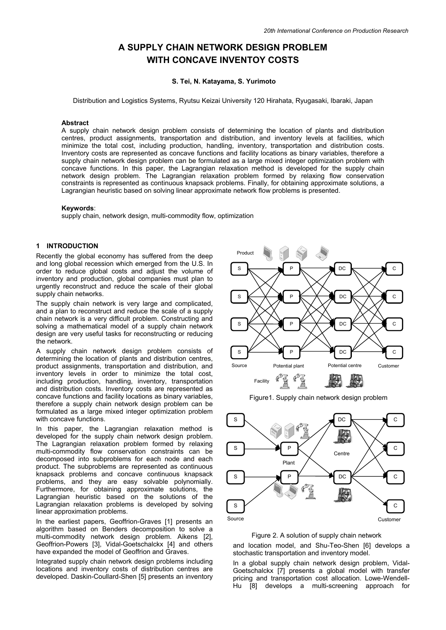# **A SUPPLY CHAIN NETWORK DESIGN PROBLEM WITH CONCAVE INVENTOY COSTS**

## **S. Tei, N. Katayama, S. Yurimoto**

Distribution and Logistics Systems, Ryutsu Keizai University 120 Hirahata, Ryugasaki, Ibaraki, Japan

## **Abstract**

A supply chain network design problem consists of determining the location of plants and distribution centres, product assignments, transportation and distribution, and inventory levels at facilities, which minimize the total cost, including production, handling, inventory, transportation and distribution costs. Inventory costs are represented as concave functions and facility locations as binary variables, therefore a supply chain network design problem can be formulated as a large mixed integer optimization problem with concave functions. In this paper, the Lagrangian relaxation method is developed for the supply chain network design problem. The Lagrangian relaxation problem formed by relaxing flow conservation constraints is represented as continuous knapsack problems. Finally, for obtaining approximate solutions, a Lagrangian heuristic based on solving linear approximate network flow problems is presented.

# **Keywords**:

supply chain, network design, multi-commodity flow, optimization

# **1 INTRODUCTION**

Recently the global economy has suffered from the deep and long global recession which emerged from the U.S. In order to reduce global costs and adjust the volume of inventory and production, global companies must plan to urgently reconstruct and reduce the scale of their global supply chain networks.

The supply chain network is very large and complicated, and a plan to reconstruct and reduce the scale of a supply chain network is a very difficult problem. Constructing and solving a mathematical model of a supply chain network design are very useful tasks for reconstructing or reducing the network.

A supply chain network design problem consists of determining the location of plants and distribution centres, product assignments, transportation and distribution, and inventory levels in order to minimize the total cost, including production, handling, inventory, transportation and distribution costs. Inventory costs are represented as concave functions and facility locations as binary variables, therefore a supply chain network design problem can be formulated as a large mixed integer optimization problem with concave functions.

In this paper, the Lagrangian relaxation method is developed for the supply chain network design problem. The Lagrangian relaxation problem formed by relaxing multi-commodity flow conservation constraints can be decomposed into subproblems for each node and each product. The subproblems are represented as continuous knapsack problems and concave continuous knapsack problems, and they are easy solvable polynomially. Furthermore, for obtaining approximate solutions, the Lagrangian heuristic based on the solutions of the Lagrangian relaxation problems is developed by solving linear approximation problems.

In the earliest papers, Geoffrion-Graves [1] presents an algorithm based on Benders decomposition to solve a multi-commodity network design problem. Aikens [2], Geoffrion-Powers [3], Vidal-Goetschalckx [4] and others have expanded the model of Geoffrion and Graves.

Integrated supply chain network design problems including locations and inventory costs of distribution centres are developed. Daskin-Coullard-Shen [5] presents an inventory



Figure1. Supply chain network design problem



Figure 2. A solution of supply chain network

and location model, and Shu-Teo-Shen [6] develops a stochastic transportation and inventory model.

In a global supply chain network design problem, Vidal-Goetschalckx [7] presents a global model with transfer pricing and transportation cost allocation. Lowe-Wendell-Hu [8] develops a multi-screening approach for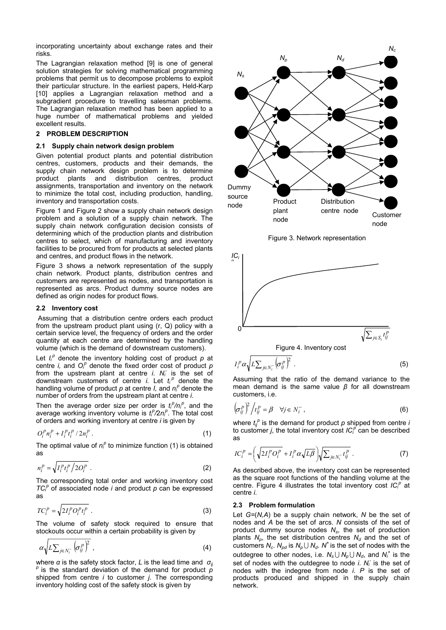incorporating uncertainty about exchange rates and their risks.

The Lagrangian relaxation method [9] is one of general solution strategies for solving mathematical programming problems that permit us to decompose problems to exploit their particular structure. In the earliest papers, Held-Karp [10] applies a Lagrangian relaxation method and a subgradient procedure to travelling salesman problems. The Lagrangian relaxation method has been applied to a huge number of mathematical problems and yielded excellent results.

## **2 PROBLEM DESCRIPTION**

## **2.1 Supply chain network design problem**

Given potential product plants and potential distribution centres, customers, products and their demands, the supply chain network design problem is to determine<br>product plants and distribution centres, product product plants and distribution centres, product assignments, transportation and inventory on the network to minimize the total cost, including production, handling, inventory and transportation costs.

Figure 1 and Figure 2 show a supply chain network design problem and a solution of a supply chain network. The supply chain network configuration decision consists of determining which of the production plants and distribution centres to select, which of manufacturing and inventory facilities to be procured from for products at selected plants and centres, and product flows in the network.

Figure 3 shows a network representation of the supply chain network. Product plants, distribution centres and customers are represented as nodes, and transportation is represented as arcs. Product dummy source nodes are defined as origin nodes for product flows.

# **2.2 Inventory cost**

 Assuming that a distribution centre orders each product from the upstream product plant using (r, Q) policy with a certain service level, the frequency of orders and the order quantity at each centre are determined by the handling volume (which is the demand of downstream customers).

Let  $I_i^p$  denote the inventory holding cost of product  $p$  at centre *i*, and  $O_f^p$  denote the fixed order cost of product  $p$ from the upstream plant at centre *i*. *Ni -* is the set of downstream customers of centre *i*. Let  $t_i^p$  denote the handling volume of product  $p$  at centre  $I$ , and  $n_l^p$  denote the number of orders from the upstream plant at centre *i*.

Then the average order size per order is  $t_i^p/n_i^p$ , and the average working inventory volume is  $t_i^p/2n_i^p$ . The total cost of orders and working inventory at centre *i* is given by

$$
O_i^p n_i^p + I_i^p t_i^p / 2n_i^p \tag{1}
$$

The optimal value of  $n_i^p$  to minimize function (1) is obtained as

$$
n_i^P = \sqrt{I_i^P t_i^P / 2O_i^P} \tag{2}
$$

The corresponding total order and working inventory cost  $TC_i^p$  of associated node *i* and product  $p$  can be expressed as

$$
TC_i^p = \sqrt{2I_i^p O_i^p t_i^p} \tag{3}
$$

The volume of safety stock required to ensure that stockouts occur within a certain probability is given by

$$
\alpha \sqrt{L \sum_{j \in N_i^-} \left( \sigma_j^p \right)^2} \tag{4}
$$

where *α* is the safety stock factor, *L* is the lead time and *σij <sup>p</sup>*is the standard deviation of the demand for product *<sup>p</sup>* shipped from centre *i* to customer *j*. The corresponding inventory holding cost of the safety stock is given by



Figure 3. Network representation



$$
I_i^p \alpha \sqrt{L \sum_{j \in N_i^-} \left(\sigma_{ij}^p\right)^2} \ . \tag{5}
$$

Assuming that the ratio of the demand variance to the mean demand is the same value *β* for all downstream customers, i.e.

$$
\left(\sigma_{ij}^p\right)^2 \Big/ t_{ij}^p = \beta \quad \forall j \in N_i^- \,, \tag{6}
$$

where  $t_{ij}^{\ \rho}$  is the demand for product  $\rho$  shipped from centre *i* to customer *j*, the total inventory cost *IC*<sup>p</sup> can be described as

$$
IC_i^p = \left(\sqrt{2I_i^p O_i^p} + I_i^p \alpha \sqrt{L\beta}\right) \sqrt{\sum_{j \in N_i^-} t_{ij}^p} \ . \tag{7}
$$

As described above, the inventory cost can be represented as the square root functions of the handling volume at the centre. Figure 4 illustrates the total inventory cost IC<sup>p</sup> at centre *i*.

## **2.3 Problem formulation**

Let *G=*(*N,A*) be a supply chain network, *N* be the set of nodes and *A* be the set of arcs. *N* consists of the set of product dummy source nodes N<sub>s</sub>, the set of production plants  $N_p$ , the set distribution centres  $N_d$  and the set of customers  $N_c$ .  $N_{\text{ad}}$  is  $N_p \cup N_d$ .  $N^+$  is the set of nodes with the outdegree to other nodes, i.e.  $N_s \cup N_p \cup N_q$ , and  $N_i^+$  is the set of nodes with the outdegree to node *i*. N<sub>i</sub> is the set of nodes with the indegree from node *i*. *P* is the set of products produced and shipped in the supply chain network.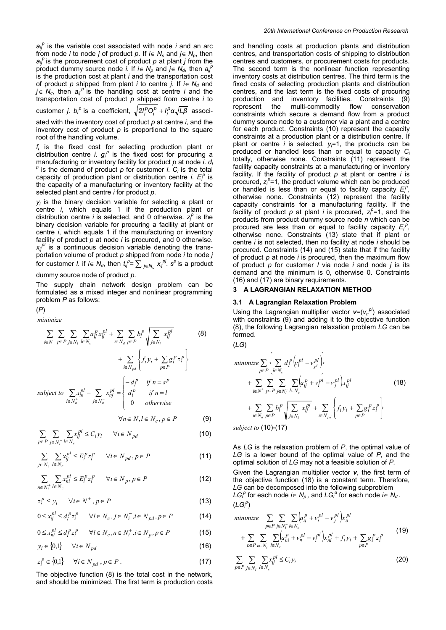$a_{ij}^{\ \rho}$  is the variable cost associated with node *i* and an arc from node *i* to node *j* of product  $p$ . If  $i \in N_s$  and  $j \in N_p$ , then  $a_{ij}^{\rho}$  is the procurement cost of product  $\rho$  at plant *j* from the product dummy source node *i*. If  $i \in N_p$  and  $j \in N_q$ , then  $a_{ij}^p$ is the production cost at plant *i* and the transportation cost of product  $p$  shipped from plant *i* to centre *j*. If  $i \in N_d$  and  $j \in N_c$ , then  $a_{ij}^p$  is the handling cost at centre *i* and the transportation cost of product *p* shipped from centre *i* to

 $\mathsf{c}$ ustomer *j. b<sub>i</sub>*<sup>p</sup> is a coefficient,  $\sqrt{2I_j^PO_j^P + I_j^P\alpha\sqrt{L\beta}}$  associ-

ated with the inventory cost of product *p* at centre *i*, and the inventory cost of product *p* is proportional to the square root of the handling volume.

*fi* is the fixed cost for selecting production plant or distribution centre *i*.  $g_i^p$  is the fixed cost for procuring a manufacturing or inventory facility for product  $p$  at node *i*.  $d$   $p^p$  is the detail is the demand of product  $p$  for customer  $l$ .  $C_i$  is the total capacity of production plant or distribution centre *i.*  $E_i^p$  is the capacity of a manufacturing or inventory facility at the selected plant and centre *i* for product *p*.

*yi* is the binary decision variable for selecting a plant or centre *i*, which equals 1 if the production plant or distribution centre *i* is selected, and 0 otherwise.  $z_j^p$  is the binary decision variable for procuring a facility at plant or centre *i*, which equals 1 if the manufacturing or inventory facility of product *p* at node *i* is procured, and 0 otherwise.  $x_{ij}^{p}$  is a continuous decision variable denoting the transportation volume of product *p* shipped from node *i* to node *j*  for customer *l*. if  $i \in N_d$ , then  $t_{ij}^{p} = \sum_{j \in N_c} x_{ij}^{pj}$ .  $s^p$  is a product

dummy source node of product *p.*

The supply chain network design problem can be formulated as a mixed integer and nonlinear programming problem *P* as follows:

# (*P*)

*minimize*

$$
\sum_{i \in N^+} \sum_{p \in P} \sum_{j \in N_i^-} \sum_{l \in N_c} a_{ij}^p x_{ij}^{pl} + \sum_{i \in N_d} \sum_{p \in P} b_i^p \sqrt{\sum_{j \in N_i^-} x_{ij}^{pl}}
$$
\n
$$
+ \sum_{i \in N_{pd}} \left\{ f_i y_i + \sum_{p \in P} g_i^p z_i^p \right\}
$$
\nsubject to\n
$$
\sum_{i \in N_n^+} x_{ij}^{pl} - \sum_{j \in N_n^-} x_{ij}^{pl} = \begin{cases} -d_i^p & \text{if } n = s^p \\ d_i^p & \text{if } n = l \\ 0 & \text{otherwise} \end{cases}
$$
\n(8)

$$
\forall n \in N, l \in N_c, p \in P \tag{9}
$$

$$
\sum_{p \in P} \sum_{j \in N_i^-} \sum_{l \in N_c} x_{ij}^{pl} \le C_i y_i \qquad \forall i \in N_{pd}
$$
\n(10)

$$
\sum_{j \in N_i^-} \sum_{l \in N_c} x_{ij}^{pl} \le E_i^p z_i^p \qquad \forall i \in N_{pd}, p \in P \tag{11}
$$

$$
\sum_{n \in N_i^+} \sum_{l \in N_c} x_{ni}^{pl} \le E_i^p z_i^p \qquad \forall i \in N_p, p \in P \tag{12}
$$

 $z_i^p \le y_i \quad \forall i \in N^+, p \in P$  (13)

$$
0 \le x_{ij}^{pl} \le d_l^p z_i^p \qquad \forall l \in N_c, j \in N_i^-, i \in N_{pd}, p \in P \tag{14}
$$

$$
0 \le x_{ni}^{pl} \le d_i^p z_i^p \qquad \forall l \in N_c, n \in N_i^+, i \in N_p, p \in P \tag{15}
$$

$$
y_i \in \{0,1\} \qquad \forall i \in N_{pd} \tag{16}
$$

$$
z_i^P \in \{0,1\} \qquad \forall i \in N_{pd} \; , p \in P \; . \tag{17}
$$

The objective function (8) is the total cost in the network, and should be minimized. The first term is production costs and handling costs at production plants and distribution centres, and transportation costs of shipping to distribution centres and customers, or procurement costs for products. The second term is the nonlinear function representing inventory costs at distribution centres. The third term is the fixed costs of selecting production plants and distribution centres, and the last term is the fixed costs of procuring production and inventory facilities. Constraints (9) represent the multi-commodity flow conservation constraints which secure a demand flow from a product dummy source node to a customer via a plant and a centre for each product. Constraints (10) represent the capacity constraints at a production plant or a distribution centre. If plant or centre *i* is selected, *yi* =1, the products can be produced or handled less than or equal to capacity *Ci* totally, otherwise none. Constraints (11) represent the facility capacity constraints at a manufacturing or inventory facility. If the facility of product *p* at plant or centre *i* is procured,  $z_i^p = 1$ , the product volume which can be produced or handled is less than or equal to facility capacity  $E_i^p$ , otherwise none. Constraints (12) represent the facility capacity constraints for a manufacturing facility. If the facility of product  $p$  at plant *i* is procured,  $z_i^p = 1$ , and the products from product dummy source node *n* which can be procured are less than or equal to facility capacity  $E_i^p$ , otherwise none. Constraints (13) state that if plant or centre *i* is not selected, then no facility at node *i* should be procured. Constraints (14) and (15) state that if the facility of product *p* at node *i* is procured, then the maximum flow of product *p* for customer *l* via node *i* and node *j* is its demand and the minimum is 0, otherwise 0. Constraints (16) and (17) are binary requirements.

## **3 A LAGRANGIAN RELAXATION METHOD**

#### **3.1 A Lagrangian Relaxation Problem**

Using the Lagrangian multiplier vector  $v=(v_n^{p})$  associated with constraints (9) and adding it to the objective function (8), the following Lagrangian relaxation problem *LG* can be formed.

$$
(LG)
$$

$$
\begin{split}\n\minimize \sum_{p \in P} \left\{ \sum_{l \in N_c} d_l^P \left( v_l^{pl} - v_{s^p}^{pl} \right) \right\} \\
&+ \sum_{i \in N^+} \sum_{p \in P} \sum_{j \in N_i^-} \sum_{l \in N_c} \left( a_{ij}^P + v_i^{pl} - v_j^{pl} \right) x_{ij}^{pl} \\
&+ \sum_{i \in N_d} \sum_{p \in P} b_i^P \sqrt{\sum_{j \in N_i^-} x_{ij}^{pl}} + \sum_{i \in N_{pd}} \left\{ f_i y_i + \sum_{p \in P} g_i^P z_i^P \right\} \\
&\leq 0.123 \text{ m/s}.\n\end{split} \tag{18}
$$

*subject to* (10)-(17)

As *LG* is the relaxation problem of *P*, the optimal value of *LG* is a lower bound of the optimal value of *P,* and the optimal solution of *LG* may not a feasible solution of *P.* Given the Lagrangian multiplier vector *v*, the first term of the objective function (18) is a constant term. Therefore, *LG* can be decomposed into the following subproblem *LG*<sup>*p*</sup> for each node *i*∈ *N<sub>p</sub>*, and *LG*<sup>*d*</sup> for each node *i*∈ *N<sub>d</sub>*.  $(LG_i^p)$ 

minimize 
$$
\sum_{p \in P} \sum_{j \in N_i^-} \sum_{l \in N_c} \left( a_{ij}^p + v_i^{pl} - v_j^{pl} \right) x_{ij}^{pl}
$$

$$
+ \sum_{p \in P} \sum_{n \in N_i^+} \sum_{l \in N_c} \left( a_{ni}^p + v_n^{pl} - v_i^{pl} \right) x_{ni}^{pl} + f_i y_i + \sum_{p \in P} g_i^p z_i^p
$$
(19)

$$
\sum_{p \in P} \sum_{j \in N_i^-} \sum_{l \in N_c} x_{ij}^{pl} \le C_i y_i \tag{20}
$$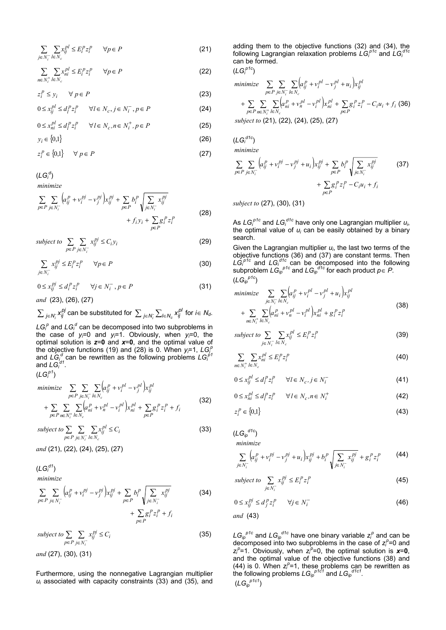$$
\sum_{j \in N_i^-} \sum_{l \in N_c} x_{ij}^{pl} \le E_i^p z_i^p \qquad \forall p \in P \tag{21}
$$

$$
\sum_{n \in N_i^+} \sum_{l \in N_c} x_{ni}^{pl} \le E_i^p z_i^p \qquad \forall p \in P \tag{22}
$$

 $z_i^p \le y_i \quad \forall \ p \in P$  (23)

$$
0 \le x_{ij}^{pl} \le d_l^p z_i^p \qquad \forall l \in N_c, j \in N_i^-, p \in P \tag{24}
$$

$$
0 \le x_{ni}^{pl} \le d_i^p z_i^p \qquad \forall l \in N_c, n \in N_i^+, p \in P \tag{25}
$$

 $y_i \in \{0,1\}$  (26)

$$
z_i^P \in \{0,1\} \qquad \forall \ p \in P \tag{27}
$$

(*LGi d* )

*minimize*

$$
\sum_{p \in P} \sum_{j \in N_i^-} \left( a_{ij}^p + v_i^{pj} - v_j^{pj} \right) x_{ij}^{pj} + \sum_{p \in P} b_i^p \sqrt{\sum_{j \in N_i^-} x_{ij}^{pj}} + f_i y_i + \sum_{p \in P} g_i^p z_i^p
$$
\n(28)

*subject to*  $\sum \sum x_{ij}^{pj} \le C_i y_i$  $\sum_{p \in P} \sum_{j \in N_i^-} x_{ij}^{pj} \le C_i y$ *i* ∑ ∑  $\in P$  j $\in N_i^ \leq C_i y_i$  (29)

$$
\sum_{j \in N_i^-} x_{ij}^{pj} \le E_i^p z_i^p \qquad \forall p \in P \tag{30}
$$

 $0 \le x_{ij}^{pj} \le d_i^p z_i^p$   $\forall j \in N_i^-, p \in P$  (31)

*and* (23), (26), (27)

 $\sum_{j \in N_i^-} \chi_{ij}^{pj}$  can be substituted for  $\sum_{j \in N_i^-} \sum_{l \in N_c} \chi_{ij}^{pl}$  for  $i \in N_d$ .

 $LG_i^p$  and  $LG_i^d$  can be decomposed into two subproblems in the case of *yi* =0 and *yi* =1. Obviously, when *yi* =0, the optimal solution is *z*=**0** and *x*=**0**, and the optimal value of the objective functions (19) and (28) is 0. When  $y_i=1$ ,  $LG_i^p$ and  $LG_{i}^{\ d}$  can be rewritten as the following problems  $LG_i^{\ \beta\ d}$ and  $LG_i^{d1}$ .

(*LGi p1*)

$$
\begin{aligned}\n\minimize \quad & \sum_{p \in P} \sum_{j \in N_i^-} \sum_{l \in N_c} \left( a_{ij}^p + v_i^{pl} - v_j^{pl} \right) x_{ij}^{pl} \\
&+ \sum_{p \in P} \sum_{n \in N_i^+} \sum_{l \in N_c} \left( a_{ni}^p + v_n^{pl} - v_i^{pl} \right) x_{ni}^{pl} + \sum_{p \in P} g_i^p z_i^p + f_i\n\end{aligned} \tag{32}
$$

∑∑∑  $\in P$  j $\in N_i^-$  le ≤  $\sum_{p \in P} \sum_{j \in N_i^-} \sum_{l \in N_c} x_{ij}^{pl} \le C_i$  $i^{l} \in I_{c}$ *subject to*  $\sum_i \sum_i x_{ii}^{pl} \le C_i$  (33)

*and* (21), (22), (24), (25), (27)

(*LGi d1*)

*minimize*

$$
\sum_{p \in P} \sum_{j \in N_i^-} \left( a_{ij}^p + v_i^{pj} - v_j^{pj} \right) x_{ij}^{pj} + \sum_{p \in P} b_i^p \sqrt{\sum_{j \in N_i^-} x_{ij}^{pj}}
$$
\n
$$
+ \sum_{p \in P} g_i^p z_i^p + f_i
$$
\n(34)

∑ ∑  $\in P$  j $\in$ ≤  $\sum_{p \in P} \sum_{i \in N_i^-} x_{ij}^+ \geq C_i$ *subject to*  $\sum_{p \in P} \sum_{j \in N_i^-} x_{ij}^{pj} \le C$ *i* (35) *and* (27), (30), (31)

Furthermore, using the nonnegative Lagrangian multiplier *ui* associated with capacity constraints (33) and (35), and adding them to the objective functions (32) and (34), the following Lagrangian relaxation problems  $L\dot{\mathsf{G}}_{\scriptscriptstyle{P}}^{\scriptscriptstyle{P1c}}$  and  $\dot{L}\dot{\mathsf{G}}_{\scriptscriptstyle{P}}^{\scriptscriptstyle{d1c}}$ can be formed.

(*LGi p1c*)

minimize 
$$
\sum_{p \in P} \sum_{j \in N_i^-} \sum_{l \in N_c} (a_{ij}^P + v_i^{pl} - v_j^{pl} + u_i) x_{ij}^{pl}
$$

$$
+ \sum_{p \in P} \sum_{n \in N_i^+} \sum_{l \in N_c} (a_{ni}^P + v_n^{pl} - v_i^{pl}) x_{ni}^{pl} + \sum_{p \in P} g_i^P z_i^P - C_i u_i + f_i \text{ (36)}
$$
  
subject to (21), (22), (24), (25), (27)

(*LGi d1c*)

*minimize*

$$
\sum_{p \in P} \sum_{j \in N_i^-} \left( a_{ij}^p + v_i^{pj} - v_j^{pj} + u_i \right) x_{ij}^{pj} + \sum_{p \in P} b_i^p \sqrt{\sum_{j \in N_i^-} x_{ij}^{pj}}
$$
\n
$$
+ \sum_{p \in P} g_i^p z_i^p - C_i u_i + f_i
$$
\n(37)

*subject to* (27), (30), (31)

As  $LG_i^{ptc}$  and  $LG_i^{dtc}$  have only one Lagrangian multiplier  $u_i$ , the optimal value of  $u_i$  can be easily obtained by a binary search.

Given the Lagrangian multiplier  $u_i$ , the last two terms of the objective functions (36) and (37) are constant terms. Then  $LG_f^{\rho_1c}$  and  $LG_f^{\rho_1c}$  can be decomposed into the following subproblem  $LG_{ip}^{p1c}$  and  $LG_{ip}^{q1c}$  for each product  $p \in P$ . (*LGip p1c*)

minimize 
$$
\sum_{j \in N_i^-} \sum_{l \in N_c} \left( a_{ij}^p + v_i^{pl} - v_j^{pl} + u_i \right) x_{ij}^{pl}
$$

$$
+ \sum_{n \in N_i^+} \sum_{l \in N_c} \left( a_{ni}^p + v_n^{pl} - v_i^{pl} \right) x_{ni}^{pl} + g_i^p z_i^p
$$
(38)

subject to 
$$
\sum_{j \in N_i^-} \sum_{l \in N_c} x_{ij}^{pl} \le E_i^p z_i^p
$$
 (39)

$$
\sum_{n \in N_i^+} \sum_{l \in N_c} x_{ni}^{pl} \le E_l^p z_l^p \tag{40}
$$

$$
0 \le x_{ij}^{pl} \le d_l^p z_i^p \qquad \forall l \in N_c, j \in N_i^-
$$

$$
0 \le x_{ni}^{pl} \le d_l^p z_i^p \qquad \forall l \in N_c, n \in N_i^+ \tag{42}
$$

$$
z_i^p \in \{0,1\} \tag{43}
$$

(*LGip d1c*) *minimize*

$$
\sum_{j \in N_i^-} \left( a_{ij}^p + v_i^{pj} - v_j^{pj} + u_i \right) x_{ij}^{pj} + b_i^p \sqrt{\sum_{j \in N_i^-} x_{ij}^{pj}} + g_i^p z_i^p \tag{44}
$$

subject to 
$$
\sum_{j \in N_i^-} x_{ij}^{pj} \le E_i^p z_i^p
$$
 (45)

$$
0 \le x_{ij}^{pj} \le d_j^p z_i^p \qquad \forall j \in N_i^- \tag{46}
$$

$$
and~({\bf 43})
$$

 $LG_{ip}^{\ \ \rho 1c}$  and  $LG_{ip}^{\ \ \sigma 1c}$  have one binary variable  $z_i^{\rho}$  and can be decomposed into two subproblems in the case of  $z_i^p=0$  and  $z_i^p$ =1. Obviously, when  $z_i^p$ =0, the optimal solution is  $x=0$ , and the optimal value of the objective functions (38) and (44) is 0. When  $z_i^p = 1$ , these problems can be rewritten as the following problems  $LG_{ip}^{p1c1}$  and  $LG_{ip}^{q1c1}$ . (*LGip p1c1*)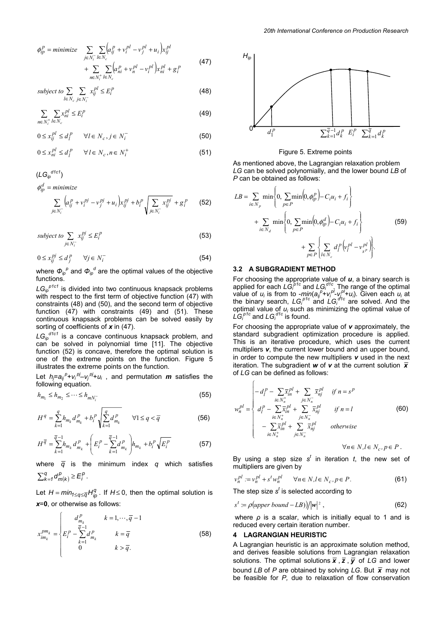$$
\phi_{ip}^{P} = \text{minimize} \sum_{j \in N_{i}^{-}} \sum_{l \in N_{c}} \Biggl( a_{ij}^{P} + v_{i}^{pl} - v_{j}^{pl} + u_{i} \Biggr) x_{ij}^{pl} + \sum_{n \in N_{i}^{+}} \sum_{l \in N_{c}} \Biggl( a_{ni}^{P} + v_{n}^{pl} - v_{i}^{pl} \Biggr) x_{ni}^{pl} + g_{i}^{P} \tag{47}
$$

subject to 
$$
\sum_{l \in N_c} \sum_{j \in N_i^-} x_{ij}^{pl} \le E_i^p
$$
 (48)

$$
\sum_{n \in N_i^+} \sum_{l \in N_c} x_{ni}^{pl} \le E_l^p \tag{49}
$$

$$
0 \le x_{ij}^{pl} \le d_i^P \qquad \forall l \in N_c, j \in N_i^-
$$
 (50)

$$
0 \le x_{ni}^{pl} \le d_i^p \qquad \forall l \in N_c, n \in N_i^+ \tag{51}
$$

$$
(LG_{ip}^{d\textrm{to1}})
$$
\n
$$
\phi_{ip}^{d} = \textrm{minimize}
$$
\n
$$
\sum_{j \in N_i^-} \left( a_{ij}^p + v_i^{pj} - v_j^{pj} + u_i \right) x_{ij}^{pj} + b_i^p \sqrt{\sum_{j \in N_i^-} x_{ij}^{pj}} + g_i^p \tag{52}
$$

subject to 
$$
\sum_{j \in N_i^-} x_{ij}^{pj} \le E_i^p
$$
 (53)

$$
0 \le x_{ij}^{pj} \le d_j^p \qquad \forall j \in N_i^- \tag{54}
$$

where  $\Phi_{ip}^{\ \ \rho}$  and  $\Phi_{ip}^{\ d}$  are the optimal values of the objective functions.

*LGip p1c1* is divided into two continuous knapsack problems with respect to the first term of objective function (47) with constraints (48) and (50), and the second term of objective function (47) with constraints (49) and (51). These continuous knapsack problems can be solved easily by sorting of coefficients of *x* in (47).

*LGip d1c1* is a concave continuous knapsack problem, and can be solved in polynomial time [11]. The objective function (52) is concave, therefore the optimal solution is one of the extreme points on the function. Figure 5 illustrates the extreme points on the function.

Let  $h_j = a_{ij}^{\ \ \rho} + v_i^{\ \rho j} - v_j^{\ \rho j} + u_i$ , and permutation *m* satisfies the following equation.

$$
h_{m_1} \le h_{m_2} \le \dots \le h_{mN_i^-}
$$
\n(55)

$$
H^{q} = \sum_{k=1}^{q} h_{m_{k}} d_{m_{k}}^{p} + b_{i}^{p} \sqrt{\sum_{k=1}^{q} d_{m_{k}}^{p}} \qquad \forall 1 \leq q < \overline{q}
$$
 (56)

$$
H^{\overline{q}} = \sum_{k=1}^{\overline{q}-1} h_{m_k} d_{m_k}^p + \left( E_i^p - \sum_{k=1}^{\overline{q}-1} d_{m_k}^p \right) h_{m_k} + b_i^p \sqrt{E_i^p}
$$
(57)

where  $\overline{q}$  is the minimum index  $q$  which satisfies  $_{k=1}^{q}d_{m(k)}^{p} \geq E_{i}^{p}$  $\sum_{k=1}^{q} d_{m(k)}^p \geq E_i^p$ .

Let  $H = min_{1 \leq q \leq \overline{q}} H_{in}^q$ . If  $H \leq 0$ , then the optimal solution is *x*=**0**, or otherwise as follows:

$$
x_{im_k}^{pm_k} = \begin{cases} d_{m_k}^p & k = 1, \cdots, \overline{q} - 1 \\ E_i^p - \sum_{k=1}^{\overline{q}-1} d_{m_k}^p & k = \overline{q} \\ 0 & k > \overline{q} \end{cases}
$$
 (58)



#### Figure 5. Extreme points

As mentioned above, the Lagrangian relaxation problem *LG* can be solved polynomially, and the lower bound *LB* of *P* can be obtained as follows:

$$
LB = \sum_{i \in N_p} \min \left\{ 0, \sum_{p \in P} \min(0, \phi_{ip}^p) - C_i u_i + f_i \right\} + \sum_{i \in N_d} \min \left\{ 0, \sum_{p \in P} \min(0, \phi_{ip}^d) - C_i u_i + f_i \right\} + \sum_{p \in P} \left\{ \sum_{l \in N_c} d_l^p \left( v_l^{pl} - v_{s^p}^{pl} \right) \right\}.
$$
 (59)

## **3.2 A SUBGRADIENT METHOD**

 $\sqrt{ }$ 

For choosing the appropriate value of *u*, a binary search is applied for each  $LG_i^{ptc}$  and  $LG_i^{dtc}$ . The range of the optimal value of *u<sub>i</sub>* is from to -*min*( $a_{ij}^{p}+v_{i}^{p}$ - $v_{j}^{p}+u_{i}$ ). Given each *u<sub>i</sub>* at the binary search,  $LG_i^{p1c}$  and  $LG_i^{d1c}$  are solved. And the optimal value of *u<sub>i</sub>* such as minimizing the optimal value of  $LG_i^{p1c}$  and  $LG_i^{d1c}$  is found.

For choosing the appropriate value of *v* approximately, the standard subgradient optimization procedure is applied. This is an iterative procedure, which uses the current multipliers *v*, the current lower bound and an upper bound, in order to compute the new multipliers *v* used in the next iteration. The subgradient *w* of *v* at the current solution *x* of *LG* can be defined as follows:

$$
w_n^{pl} = \begin{cases}\n-d_l^P - \sum_{i \in N_n^+} \overline{x}_{in}^{pl} + \sum_{j \in N_n^-} \overline{x}_{nj}^{pl} & \text{if } n = s^P \\
d_l^P - \sum_{i \in N_n^+} \overline{x}_{in}^{pl} + \sum_{j \in N_n^-} \overline{x}_{nj}^{pl} & \text{if } n = l \\
-\sum_{i \in N_n^+} \overline{x}_{in}^{pl} + \sum_{j \in N_n^-} \overline{x}_{nj}^{pl} & \text{otherwise}\n\end{cases}
$$
\n(60)

 $∀n ∈ N, l ∈ N_c, p ∈ P$ .

 multipliers are given by By using a step size  $s<sup>t</sup>$  in iteration *t*, the new set of

$$
v_n^{pl} := v_n^{pl} + s^t w_n^{pl} \qquad \forall n \in N, l \in N_c, p \in P. \tag{61}
$$

The step size  $s<sup>t</sup>$  is selected according to

$$
st := \rho(\text{upper bound} - LB)) / |\mathbf{w}|^2 , \qquad (62)
$$

where  $\rho$  is a scalar, which is initially equal to 1 and is reduced every certain iteration number.

#### **4 LAGRANGIAN HEURISTIC**

A Lagrangian heuristic is an approximate solution method, and derives feasible solutions from Lagrangian relaxation solutions. The optimal solutions  $\bar{x}$ ,  $\bar{z}$ ,  $\bar{y}$  of *LG* and lower bound *LB* of *P* are obtained by solving *LG*. But  $\bar{x}$  may not be feasible for *P,* due to relaxation of flow conservation